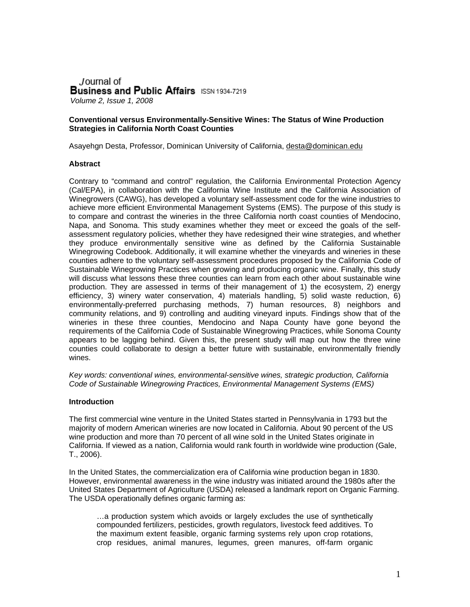Journal of **Business and Public Affairs** ISSN 1934-7219 *Volume 2, Issue 1, 2008*

#### **Conventional versus Environmentally-Sensitive Wines: The Status of Wine Production Strategies in California North Coast Counties**

Asayehgn Desta, Professor, Dominican University of California, desta@dominican.edu

#### **Abstract**

Contrary to "command and control" regulation, the California Environmental Protection Agency (Cal/EPA), in collaboration with the California Wine Institute and the California Association of Winegrowers (CAWG), has developed a voluntary self-assessment code for the wine industries to achieve more efficient Environmental Management Systems (EMS). The purpose of this study is to compare and contrast the wineries in the three California north coast counties of Mendocino, Napa, and Sonoma. This study examines whether they meet or exceed the goals of the selfassessment regulatory policies, whether they have redesigned their wine strategies, and whether they produce environmentally sensitive wine as defined by the California Sustainable Winegrowing Codebook. Additionally, it will examine whether the vineyards and wineries in these counties adhere to the voluntary self-assessment procedures proposed by the California Code of Sustainable Winegrowing Practices when growing and producing organic wine. Finally, this study will discuss what lessons these three counties can learn from each other about sustainable wine production. They are assessed in terms of their management of 1) the ecosystem, 2) energy efficiency, 3) winery water conservation, 4) materials handling, 5) solid waste reduction, 6) environmentally-preferred purchasing methods, 7) human resources, 8) neighbors and community relations, and 9) controlling and auditing vineyard inputs. Findings show that of the wineries in these three counties, Mendocino and Napa County have gone beyond the requirements of the California Code of Sustainable Winegrowing Practices, while Sonoma County appears to be lagging behind. Given this, the present study will map out how the three wine counties could collaborate to design a better future with sustainable, environmentally friendly wines.

*Key words: conventional wines, environmental-sensitive wines, strategic production, California Code of Sustainable Winegrowing Practices, Environmental Management Systems (EMS)* 

#### **Introduction**

The first commercial wine venture in the United States started in Pennsylvania in 1793 but the majority of modern American wineries are now located in California. About 90 percent of the US wine production and more than 70 percent of all wine sold in the United States originate in California. If viewed as a nation, California would rank fourth in worldwide wine production (Gale, T., 2006).

In the United States, the commercialization era of California wine production began in 1830. However, environmental awareness in the wine industry was initiated around the 1980s after the United States Department of Agriculture (USDA) released a landmark report on Organic Farming. The USDA operationally defines organic farming as:

…a production system which avoids or largely excludes the use of synthetically compounded fertilizers, pesticides, growth regulators, livestock feed additives. To the maximum extent feasible, organic farming systems rely upon crop rotations, crop residues, animal manures, legumes, green manures, off-farm organic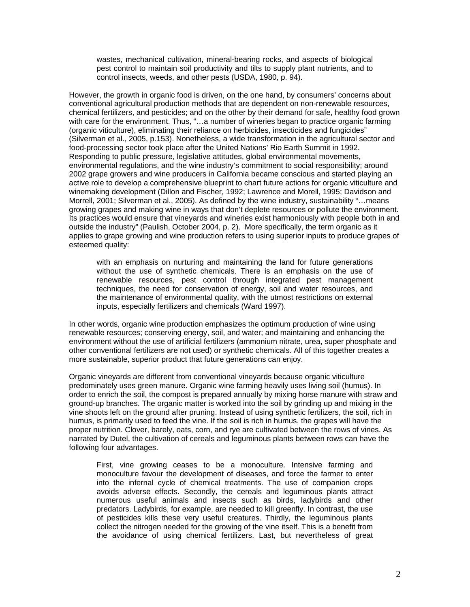wastes, mechanical cultivation, mineral-bearing rocks, and aspects of biological pest control to maintain soil productivity and tilts to supply plant nutrients, and to control insects, weeds, and other pests (USDA, 1980, p. 94).

However, the growth in organic food is driven, on the one hand, by consumers' concerns about conventional agricultural production methods that are dependent on non-renewable resources, chemical fertilizers, and pesticides; and on the other by their demand for safe, healthy food grown with care for the environment. Thus, "...a number of wineries began to practice organic farming (organic viticulture), eliminating their reliance on herbicides, insecticides and fungicides" (Silverman et al., 2005, p.153). Nonetheless, a wide transformation in the agricultural sector and food-processing sector took place after the United Nations' Rio Earth Summit in 1992. Responding to public pressure, legislative attitudes, global environmental movements, environmental regulations, and the wine industry's commitment to social responsibility; around 2002 grape growers and wine producers in California became conscious and started playing an active role to develop a comprehensive blueprint to chart future actions for organic viticulture and winemaking development (Dillon and Fischer, 1992; Lawrence and Morell, 1995; Davidson and Morrell, 2001; Silverman et al., 2005). As defined by the wine industry, sustainability "…means growing grapes and making wine in ways that don't deplete resources or pollute the environment. Its practices would ensure that vineyards and wineries exist harmoniously with people both in and outside the industry" (Paulish, October 2004, p. 2). More specifically, the term organic as it applies to grape growing and wine production refers to using superior inputs to produce grapes of esteemed quality:

with an emphasis on nurturing and maintaining the land for future generations without the use of synthetic chemicals. There is an emphasis on the use of renewable resources, pest control through integrated pest management techniques, the need for conservation of energy, soil and water resources, and the maintenance of environmental quality, with the utmost restrictions on external inputs, especially fertilizers and chemicals (Ward 1997).

In other words, organic wine production emphasizes the optimum production of wine using renewable resources; conserving energy, soil, and water; and maintaining and enhancing the environment without the use of artificial fertilizers (ammonium nitrate, urea, super phosphate and other conventional fertilizers are not used) or synthetic chemicals. All of this together creates a more sustainable, superior product that future generations can enjoy.

Organic vineyards are different from conventional vineyards because organic viticulture predominately uses green manure. Organic wine farming heavily uses living soil (humus). In order to enrich the soil, the compost is prepared annually by mixing horse manure with straw and ground-up branches. The organic matter is worked into the soil by grinding up and mixing in the vine shoots left on the ground after pruning. Instead of using synthetic fertilizers, the soil, rich in humus, is primarily used to feed the vine. If the soil is rich in humus, the grapes will have the proper nutrition. Clover, barely, oats, corn, and rye are cultivated between the rows of vines. As narrated by Dutel, the cultivation of cereals and leguminous plants between rows can have the following four advantages.

First, vine growing ceases to be a monoculture. Intensive farming and monoculture favour the development of diseases, and force the farmer to enter into the infernal cycle of chemical treatments. The use of companion crops avoids adverse effects. Secondly, the cereals and leguminous plants attract numerous useful animals and insects such as birds, ladybirds and other predators. Ladybirds, for example, are needed to kill greenfly. In contrast, the use of pesticides kills these very useful creatures. Thirdly, the leguminous plants collect the nitrogen needed for the growing of the vine itself. This is a benefit from the avoidance of using chemical fertilizers. Last, but nevertheless of great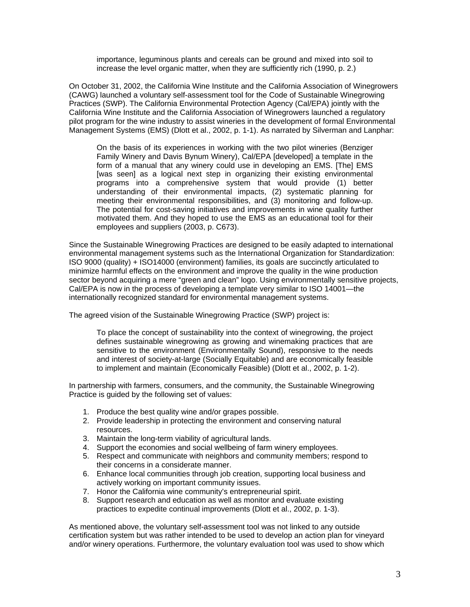importance, leguminous plants and cereals can be ground and mixed into soil to increase the level organic matter, when they are sufficiently rich (1990, p. 2.)

On October 31, 2002, the California Wine Institute and the California Association of Winegrowers (CAWG) launched a voluntary self-assessment tool for the Code of Sustainable Winegrowing Practices (SWP). The California Environmental Protection Agency (Cal/EPA) jointly with the California Wine Institute and the California Association of Winegrowers launched a regulatory pilot program for the wine industry to assist wineries in the development of formal Environmental Management Systems (EMS) (Dlott et al., 2002, p. 1-1). As narrated by Silverman and Lanphar:

On the basis of its experiences in working with the two pilot wineries (Benziger Family Winery and Davis Bynum Winery), Cal/EPA [developed] a template in the form of a manual that any winery could use in developing an EMS. [The] EMS [was seen] as a logical next step in organizing their existing environmental programs into a comprehensive system that would provide (1) better understanding of their environmental impacts, (2) systematic planning for meeting their environmental responsibilities, and (3) monitoring and follow-up. The potential for cost-saving initiatives and improvements in wine quality further motivated them. And they hoped to use the EMS as an educational tool for their employees and suppliers (2003, p. C673).

Since the Sustainable Winegrowing Practices are designed to be easily adapted to international environmental management systems such as the International Organization for Standardization: ISO 9000 (quality) + ISO14000 (environment) families, its goals are succinctly articulated to minimize harmful effects on the environment and improve the quality in the wine production sector beyond acquiring a mere "green and clean" logo. Using environmentally sensitive projects, Cal/EPA is now in the process of developing a template very similar to ISO 14001—the internationally recognized standard for environmental management systems.

The agreed vision of the Sustainable Winegrowing Practice (SWP) project is:

To place the concept of sustainability into the context of winegrowing, the project defines sustainable winegrowing as growing and winemaking practices that are sensitive to the environment (Environmentally Sound), responsive to the needs and interest of society-at-large (Socially Equitable) and are economically feasible to implement and maintain (Economically Feasible) (Dlott et al., 2002, p. 1-2).

In partnership with farmers, consumers, and the community, the Sustainable Winegrowing Practice is guided by the following set of values:

- 1. Produce the best quality wine and/or grapes possible.
- 2. Provide leadership in protecting the environment and conserving natural resources.
- 3. Maintain the long-term viability of agricultural lands.
- 4. Support the economies and social wellbeing of farm winery employees.
- 5. Respect and communicate with neighbors and community members; respond to their concerns in a considerate manner.
- 6. Enhance local communities through job creation, supporting local business and actively working on important community issues.
- 7. Honor the California wine community's entrepreneurial spirit.
- 8. Support research and education as well as monitor and evaluate existing practices to expedite continual improvements (Dlott et al., 2002, p. 1-3).

As mentioned above, the voluntary self-assessment tool was not linked to any outside certification system but was rather intended to be used to develop an action plan for vineyard and/or winery operations. Furthermore, the voluntary evaluation tool was used to show which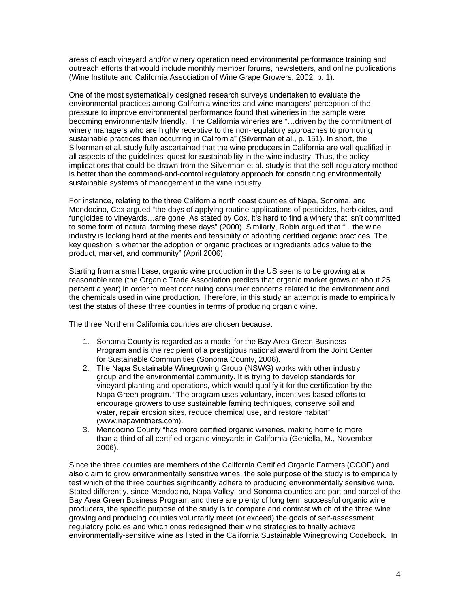areas of each vineyard and/or winery operation need environmental performance training and outreach efforts that would include monthly member forums, newsletters, and online publications (Wine Institute and California Association of Wine Grape Growers, 2002, p. 1).

One of the most systematically designed research surveys undertaken to evaluate the environmental practices among California wineries and wine managers' perception of the pressure to improve environmental performance found that wineries in the sample were becoming environmentally friendly. The California wineries are "…driven by the commitment of winery managers who are highly receptive to the non-regulatory approaches to promoting sustainable practices then occurring in California" (Silverman et al., p. 151). In short, the Silverman et al. study fully ascertained that the wine producers in California are well qualified in all aspects of the guidelines' quest for sustainability in the wine industry. Thus, the policy implications that could be drawn from the Silverman et al. study is that the self-regulatory method is better than the command-and-control regulatory approach for constituting environmentally sustainable systems of management in the wine industry.

For instance, relating to the three California north coast counties of Napa, Sonoma, and Mendocino, Cox argued "the days of applying routine applications of pesticides, herbicides, and fungicides to vineyards…are gone. As stated by Cox, it's hard to find a winery that isn't committed to some form of natural farming these days" (2000). Similarly, Robin argued that "…the wine industry is looking hard at the merits and feasibility of adopting certified organic practices. The key question is whether the adoption of organic practices or ingredients adds value to the product, market, and community" (April 2006).

Starting from a small base, organic wine production in the US seems to be growing at a reasonable rate (the Organic Trade Association predicts that organic market grows at about 25 percent a year) in order to meet continuing consumer concerns related to the environment and the chemicals used in wine production. Therefore, in this study an attempt is made to empirically test the status of these three counties in terms of producing organic wine.

The three Northern California counties are chosen because:

- 1. Sonoma County is regarded as a model for the Bay Area Green Business Program and is the recipient of a prestigious national award from the Joint Center for Sustainable Communities (Sonoma County, 2006).
- 2. The Napa Sustainable Winegrowing Group (NSWG) works with other industry group and the environmental community. It is trying to develop standards for vineyard planting and operations, which would qualify it for the certification by the Napa Green program. "The program uses voluntary, incentives-based efforts to encourage growers to use sustainable faming techniques, conserve soil and water, repair erosion sites, reduce chemical use, and restore habitat" [\(www.napavintners.com\)](http://www.napavintners.com/).
- 3. Mendocino County "has more certified organic wineries, making home to more than a third of all certified organic vineyards in California (Geniella, M., November 2006).

Since the three counties are members of the California Certified Organic Farmers (CCOF) and also claim to grow environmentally sensitive wines, the sole purpose of the study is to empirically test which of the three counties significantly adhere to producing environmentally sensitive wine. Stated differently, since Mendocino, Napa Valley, and Sonoma counties are part and parcel of the Bay Area Green Business Program and there are plenty of long term successful organic wine producers, the specific purpose of the study is to compare and contrast which of the three wine growing and producing counties voluntarily meet (or exceed) the goals of self-assessment regulatory policies and which ones redesigned their wine strategies to finally achieve environmentally-sensitive wine as listed in the California Sustainable Winegrowing Codebook. In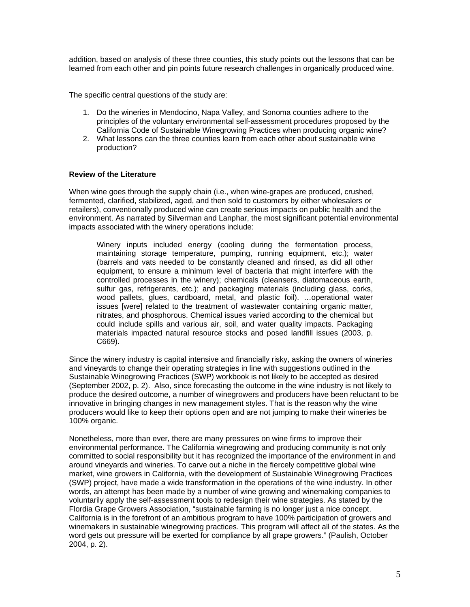addition, based on analysis of these three counties, this study points out the lessons that can be learned from each other and pin points future research challenges in organically produced wine.

The specific central questions of the study are:

- 1. Do the wineries in Mendocino, Napa Valley, and Sonoma counties adhere to the principles of the voluntary environmental self-assessment procedures proposed by the California Code of Sustainable Winegrowing Practices when producing organic wine?
- 2. What lessons can the three counties learn from each other about sustainable wine production?

## **Review of the Literature**

When wine goes through the supply chain (i.e., when wine-grapes are produced, crushed, fermented, clarified, stabilized, aged, and then sold to customers by either wholesalers or retailers), conventionally produced wine can create serious impacts on public health and the environment. As narrated by Silverman and Lanphar, the most significant potential environmental impacts associated with the winery operations include:

Winery inputs included energy (cooling during the fermentation process, maintaining storage temperature, pumping, running equipment, etc.); water (barrels and vats needed to be constantly cleaned and rinsed, as did all other equipment, to ensure a minimum level of bacteria that might interfere with the controlled processes in the winery); chemicals (cleansers, diatomaceous earth, sulfur gas, refrigerants, etc.); and packaging materials (including glass, corks, wood pallets, glues, cardboard, metal, and plastic foil). …operational water issues [were] related to the treatment of wastewater containing organic matter, nitrates, and phosphorous. Chemical issues varied according to the chemical but could include spills and various air, soil, and water quality impacts. Packaging materials impacted natural resource stocks and posed landfill issues (2003, p. C669).

Since the winery industry is capital intensive and financially risky, asking the owners of wineries and vineyards to change their operating strategies in line with suggestions outlined in the Sustainable Winegrowing Practices (SWP) workbook is not likely to be accepted as desired (September 2002, p. 2). Also, since forecasting the outcome in the wine industry is not likely to produce the desired outcome, a number of winegrowers and producers have been reluctant to be innovative in bringing changes in new management styles. That is the reason why the wine producers would like to keep their options open and are not jumping to make their wineries be 100% organic.

Nonetheless, more than ever, there are many pressures on wine firms to improve their environmental performance. The California winegrowing and producing community is not only committed to social responsibility but it has recognized the importance of the environment in and around vineyards and wineries. To carve out a niche in the fiercely competitive global wine market, wine growers in California, with the development of Sustainable Winegrowing Practices (SWP) project, have made a wide transformation in the operations of the wine industry. In other words, an attempt has been made by a number of wine growing and winemaking companies to voluntarily apply the self-assessment tools to redesign their wine strategies. As stated by the Flordia Grape Growers Association, "sustainable farming is no longer just a nice concept. California is in the forefront of an ambitious program to have 100% participation of growers and winemakers in sustainable winegrowing practices. This program will affect all of the states. As the word gets out pressure will be exerted for compliance by all grape growers." (Paulish, October 2004, p. 2).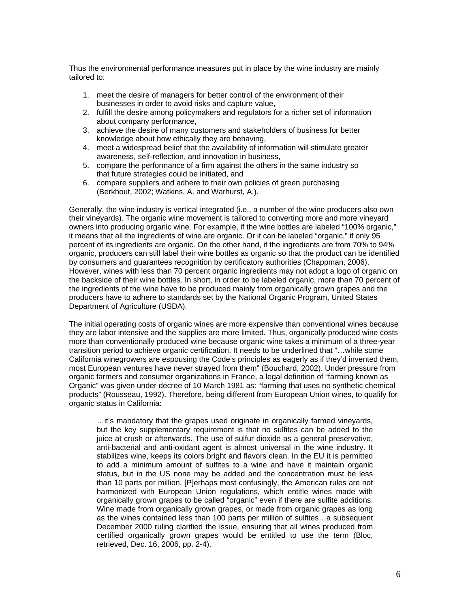Thus the environmental performance measures put in place by the wine industry are mainly tailored to:

- 1. meet the desire of managers for better control of the environment of their businesses in order to avoid risks and capture value,
- 2. fulfill the desire among policymakers and regulators for a richer set of information about company performance,
- 3. achieve the desire of many customers and stakeholders of business for better knowledge about how ethically they are behaving,
- 4. meet a widespread belief that the availability of information will stimulate greater awareness, self-reflection, and innovation in business,
- 5. compare the performance of a firm against the others in the same industry so that future strategies could be initiated, and
- 6. compare suppliers and adhere to their own policies of green purchasing (Berkhout, 2002; Watkins, A. and Warhurst, A.).

Generally, the wine industry is vertical integrated (i.e., a number of the wine producers also own their vineyards). The organic wine movement is tailored to converting more and more vineyard owners into producing organic wine. For example, if the wine bottles are labeled "100% organic," it means that all the ingredients of wine are organic. Or it can be labeled "organic," if only 95 percent of its ingredients are organic. On the other hand, if the ingredients are from 70% to 94% organic, producers can still label their wine bottles as organic so that the product can be identified by consumers and guarantees recognition by certificatory authorities (Chappman, 2006). However, wines with less than 70 percent organic ingredients may not adopt a logo of organic on the backside of their wine bottles. In short, in order to be labeled organic, more than 70 percent of the ingredients of the wine have to be produced mainly from organically grown grapes and the producers have to adhere to standards set by the National Organic Program, United States Department of Agriculture (USDA).

The initial operating costs of organic wines are more expensive than conventional wines because they are labor intensive and the supplies are more limited. Thus, organically produced wine costs more than conventionally produced wine because organic wine takes a minimum of a three-year transition period to achieve organic certification. It needs to be underlined that "…while some California winegrowers are espousing the Code's principles as eagerly as if they'd invented them, most European ventures have never strayed from them" (Bouchard, 2002). Under pressure from organic farmers and consumer organizations in France, a legal definition of "farming known as Organic" was given under decree of 10 March 1981 as: "farming that uses no synthetic chemical products" (Rousseau, 1992). Therefore, being different from European Union wines, to qualify for organic status in California:

…it's mandatory that the grapes used originate in organically farmed vineyards, but the key supplementary requirement is that no sulfites can be added to the juice at crush or afterwards. The use of sulfur dioxide as a general preservative, anti-bacterial and anti-oxidant agent is almost universal in the wine industry. It stabilizes wine, keeps its colors bright and flavors clean. In the EU it is permitted to add a minimum amount of sulfites to a wine and have it maintain organic status, but in the US none may be added and the concentration must be less than 10 parts per million. [P]erhaps most confusingly, the American rules are not harmonized with European Union regulations, which entitle wines made with organically grown grapes to be called "organic" even if there are sulfite additions. Wine made from organically grown grapes, or made from organic grapes as long as the wines contained less than 100 parts per million of sulfites…a subsequent December 2000 ruling clarified the issue, ensuring that all wines produced from certified organically grown grapes would be entitled to use the term (Bloc, retrieved, Dec. 16, 2006, pp. 2-4).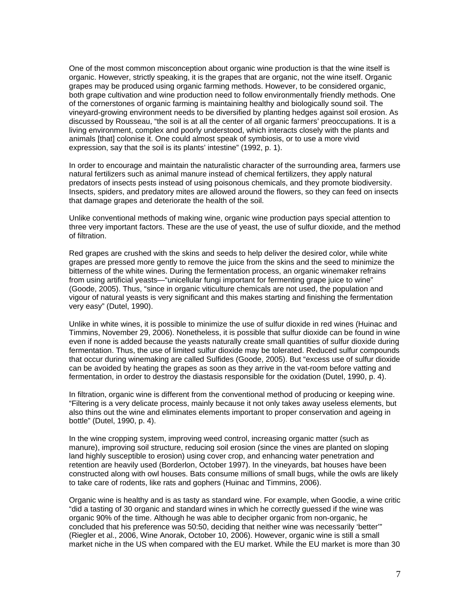One of the most common misconception about organic wine production is that the wine itself is organic. However, strictly speaking, it is the grapes that are organic, not the wine itself. Organic grapes may be produced using organic farming methods. However, to be considered organic, both grape cultivation and wine production need to follow environmentally friendly methods. One of the cornerstones of organic farming is maintaining healthy and biologically sound soil. The vineyard-growing environment needs to be diversified by planting hedges against soil erosion. As discussed by Rousseau, "the soil is at all the center of all organic farmers' preoccupations. It is a living environment, complex and poorly understood, which interacts closely with the plants and animals [that] colonise it. One could almost speak of symbiosis, or to use a more vivid expression, say that the soil is its plants' intestine" (1992, p. 1).

In order to encourage and maintain the naturalistic character of the surrounding area, farmers use natural fertilizers such as animal manure instead of chemical fertilizers, they apply natural predators of insects pests instead of using poisonous chemicals, and they promote biodiversity. Insects, spiders, and predatory mites are allowed around the flowers, so they can feed on insects that damage grapes and deteriorate the health of the soil.

Unlike conventional methods of making wine, organic wine production pays special attention to three very important factors. These are the use of yeast, the use of sulfur dioxide, and the method of filtration.

Red grapes are crushed with the skins and seeds to help deliver the desired color, while white grapes are pressed more gently to remove the juice from the skins and the seed to minimize the bitterness of the white wines. During the fermentation process, an organic winemaker refrains from using artificial yeasts—"unicellular fungi important for fermenting grape juice to wine" (Goode, 2005). Thus, "since in organic viticulture chemicals are not used, the population and vigour of natural yeasts is very significant and this makes starting and finishing the fermentation very easy" (Dutel, 1990).

Unlike in white wines, it is possible to minimize the use of sulfur dioxide in red wines (Huinac and Timmins, November 29, 2006). Nonetheless, it is possible that sulfur dioxide can be found in wine even if none is added because the yeasts naturally create small quantities of sulfur dioxide during fermentation. Thus, the use of limited sulfur dioxide may be tolerated. Reduced sulfur compounds that occur during winemaking are called Sulfides (Goode, 2005). But "excess use of sulfur dioxide can be avoided by heating the grapes as soon as they arrive in the vat-room before vatting and fermentation, in order to destroy the diastasis responsible for the oxidation (Dutel, 1990, p. 4).

In filtration, organic wine is different from the conventional method of producing or keeping wine. "Filtering is a very delicate process, mainly because it not only takes away useless elements, but also thins out the wine and eliminates elements important to proper conservation and ageing in bottle" (Dutel, 1990, p. 4).

In the wine cropping system, improving weed control, increasing organic matter (such as manure), improving soil structure, reducing soil erosion (since the vines are planted on sloping land highly susceptible to erosion) using cover crop, and enhancing water penetration and retention are heavily used (Borderlon, October 1997). In the vineyards, bat houses have been constructed along with owl houses. Bats consume millions of small bugs, while the owls are likely to take care of rodents, like rats and gophers (Huinac and Timmins, 2006).

Organic wine is healthy and is as tasty as standard wine. For example, when Goodie, a wine critic "did a tasting of 30 organic and standard wines in which he correctly guessed if the wine was organic 90% of the time. Although he was able to decipher organic from non-organic, he concluded that his preference was 50:50, deciding that neither wine was necessarily 'better'" (Riegler et al., 2006, Wine Anorak, October 10, 2006). However, organic wine is still a small market niche in the US when compared with the EU market. While the EU market is more than 30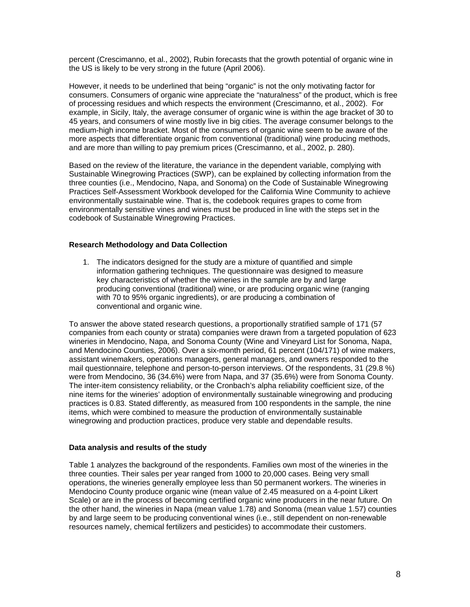percent (Crescimanno, et al., 2002), Rubin forecasts that the growth potential of organic wine in the US is likely to be very strong in the future (April 2006).

However, it needs to be underlined that being "organic" is not the only motivating factor for consumers. Consumers of organic wine appreciate the "naturalness" of the product, which is free of processing residues and which respects the environment (Crescimanno, et al., 2002). For example, in Sicily, Italy, the average consumer of organic wine is within the age bracket of 30 to 45 years, and consumers of wine mostly live in big cities. The average consumer belongs to the medium-high income bracket. Most of the consumers of organic wine seem to be aware of the more aspects that differentiate organic from conventional (traditional) wine producing methods, and are more than willing to pay premium prices (Crescimanno, et al., 2002, p. 280).

Based on the review of the literature, the variance in the dependent variable, complying with Sustainable Winegrowing Practices (SWP), can be explained by collecting information from the three counties (i.e., Mendocino, Napa, and Sonoma) on the Code of Sustainable Winegrowing Practices Self-Assessment Workbook developed for the California Wine Community to achieve environmentally sustainable wine. That is, the codebook requires grapes to come from environmentally sensitive vines and wines must be produced in line with the steps set in the codebook of Sustainable Winegrowing Practices.

## **Research Methodology and Data Collection**

1. The indicators designed for the study are a mixture of quantified and simple information gathering techniques. The questionnaire was designed to measure key characteristics of whether the wineries in the sample are by and large producing conventional (traditional) wine, or are producing organic wine (ranging with 70 to 95% organic ingredients), or are producing a combination of conventional and organic wine.

To answer the above stated research questions, a proportionally stratified sample of 171 (57 companies from each county or strata) companies were drawn from a targeted population of 623 wineries in Mendocino, Napa, and Sonoma County (Wine and Vineyard List for Sonoma, Napa, and Mendocino Counties, 2006). Over a six-month period, 61 percent (104/171) of wine makers, assistant winemakers, operations managers, general managers, and owners responded to the mail questionnaire, telephone and person-to-person interviews. Of the respondents, 31 (29.8 %) were from Mendocino, 36 (34.6%) were from Napa, and 37 (35.6%) were from Sonoma County. The inter-item consistency reliability, or the Cronbach's alpha reliability coefficient size, of the nine items for the wineries' adoption of environmentally sustainable winegrowing and producing practices is 0.83. Stated differently, as measured from 100 respondents in the sample, the nine items, which were combined to measure the production of environmentally sustainable winegrowing and production practices, produce very stable and dependable results.

### **Data analysis and results of the study**

Table 1 analyzes the background of the respondents. Families own most of the wineries in the three counties. Their sales per year ranged from 1000 to 20,000 cases. Being very small operations, the wineries generally employee less than 50 permanent workers. The wineries in Mendocino County produce organic wine (mean value of 2.45 measured on a 4-point Likert Scale) or are in the process of becoming certified organic wine producers in the near future. On the other hand, the wineries in Napa (mean value 1.78) and Sonoma (mean value 1.57) counties by and large seem to be producing conventional wines (i.e., still dependent on non-renewable resources namely, chemical fertilizers and pesticides) to accommodate their customers.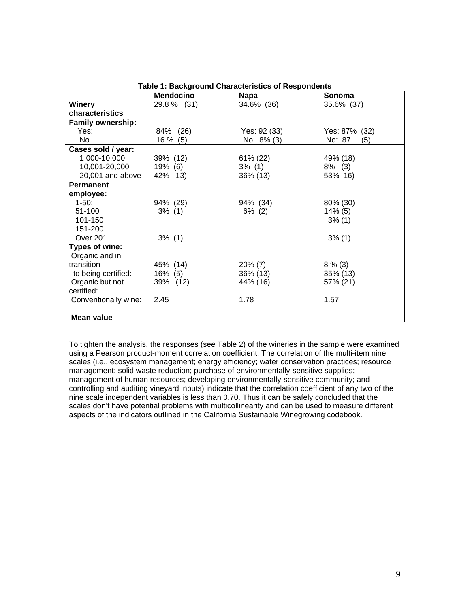|                          | <b>Mendocino</b> | Napa         | Sonoma        |
|--------------------------|------------------|--------------|---------------|
| <b>Winery</b>            | 29.8 % (31)      | 34.6% (36)   | 35.6% (37)    |
| characteristics          |                  |              |               |
| <b>Family ownership:</b> |                  |              |               |
| Yes:                     | 84% (26)         | Yes: 92 (33) | Yes: 87% (32) |
| No.                      | $16\%$ (5)       | No: 8% (3)   | No: 87<br>(5) |
| Cases sold / year:       |                  |              |               |
| 1,000-10,000             | 39% (12)         | 61% (22)     | 49% (18)      |
| 10,001-20,000            | 19% (6)          | 3% (1)       | $8\%$ (3)     |
| 20,001 and above         | 42% 13)          | 36% (13)     | 53% 16)       |
| <b>Permanent</b>         |                  |              |               |
| employee:                |                  |              |               |
| $1-50$ :                 | 94% (29)         | 94% (34)     | 80% (30)      |
| 51-100                   | $3\%$ (1)        | $6\%$ (2)    | $14\%$ (5)    |
| 101-150                  |                  |              | $3\%$ (1)     |
| 151-200                  |                  |              |               |
| Over 201                 | $3\%$ (1)        |              | $3\%$ (1)     |
| Types of wine:           |                  |              |               |
| Organic and in           |                  |              |               |
| transition               | 45% (14)         | $20\% (7)$   | $8\%$ (3)     |
| to being certified:      | 16% (5)          | 36% (13)     | 35% (13)      |
| Organic but not          | 39% (12)         | 44% (16)     | 57% (21)      |
| certified:               |                  |              |               |
| Conventionally wine:     | 2.45             | 1.78         | 1.57          |
|                          |                  |              |               |
| Mean value               |                  |              |               |

To tighten the analysis, the responses (see Table 2) of the wineries in the sample were examined using a Pearson product-moment correlation coefficient. The correlation of the multi-item nine scales (i.e., ecosystem management; energy efficiency; water conservation practices; resource management; solid waste reduction; purchase of environmentally-sensitive supplies; management of human resources; developing environmentally-sensitive community; and controlling and auditing vineyard inputs) indicate that the correlation coefficient of any two of the nine scale independent variables is less than 0.70. Thus it can be safely concluded that the scales don't have potential problems with multicollinearity and can be used to measure different aspects of the indicators outlined in the California Sustainable Winegrowing codebook.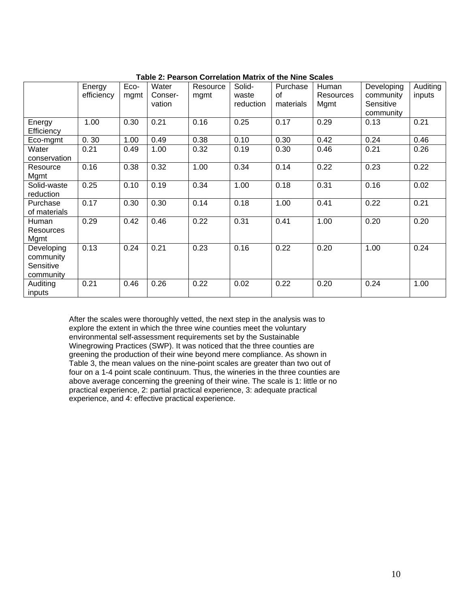|                    | Energy     | Eco- | Water   | Resource | Solid-    | Purchase  | Human            | Developing | Auditing |
|--------------------|------------|------|---------|----------|-----------|-----------|------------------|------------|----------|
|                    | efficiency | mgmt | Conser- | mgmt     | waste     | 0f        | <b>Resources</b> | community  | inputs   |
|                    |            |      | vation  |          | reduction | materials | Mgmt             | Sensitive  |          |
|                    |            |      |         |          |           |           |                  | community  |          |
| Energy             | 1.00       | 0.30 | 0.21    | 0.16     | 0.25      | 0.17      | 0.29             | 0.13       | 0.21     |
|                    |            |      |         |          |           |           |                  |            |          |
| Efficiency         |            |      |         |          |           |           |                  |            |          |
| Eco-mgmt           | 0.30       | 1.00 | 0.49    | 0.38     | 0.10      | 0.30      | 0.42             | 0.24       | 0.46     |
| Water              | 0.21       | 0.49 | 1.00    | 0.32     | 0.19      | 0.30      | 0.46             | 0.21       | 0.26     |
| conservation       |            |      |         |          |           |           |                  |            |          |
| Resource           | 0.16       | 0.38 | 0.32    | 1.00     | 0.34      | 0.14      | 0.22             | 0.23       | 0.22     |
| Mgmt               |            |      |         |          |           |           |                  |            |          |
|                    | 0.25       | 0.10 | 0.19    | 0.34     | 1.00      | 0.18      | 0.31             | 0.16       | 0.02     |
| Solid-waste        |            |      |         |          |           |           |                  |            |          |
| reduction          |            |      |         |          |           |           |                  |            |          |
| Purchase           | 0.17       | 0.30 | 0.30    | 0.14     | 0.18      | 1.00      | 0.41             | 0.22       | 0.21     |
| of materials       |            |      |         |          |           |           |                  |            |          |
| Human              | 0.29       | 0.42 | 0.46    | 0.22     | 0.31      | 0.41      | 1.00             | 0.20       | 0.20     |
| <b>Resources</b>   |            |      |         |          |           |           |                  |            |          |
| Mgmt               |            |      |         |          |           |           |                  |            |          |
|                    |            |      |         |          |           |           |                  |            |          |
| Developing         | 0.13       | 0.24 | 0.21    | 0.23     | 0.16      | 0.22      | 0.20             | 1.00       | 0.24     |
| community          |            |      |         |          |           |           |                  |            |          |
| Sensitive          |            |      |         |          |           |           |                  |            |          |
| community          |            |      |         |          |           |           |                  |            |          |
|                    |            |      |         |          |           |           |                  |            |          |
|                    |            |      |         |          |           |           |                  |            |          |
| Auditing<br>inputs | 0.21       | 0.46 | 0.26    | 0.22     | 0.02      | 0.22      | 0.20             | 0.24       | 1.00     |

**Table 2: Pearson Correlation Matrix of the Nine Scales** 

After the scales were thoroughly vetted, the next step in the analysis was to explore the extent in which the three wine counties meet the voluntary environmental self-assessment requirements set by the Sustainable Winegrowing Practices (SWP). It was noticed that the three counties are greening the production of their wine beyond mere compliance. As shown in Table 3, the mean values on the nine-point scales are greater than two out of four on a 1-4 point scale continuum. Thus, the wineries in the three counties are above average concerning the greening of their wine. The scale is 1: little or no practical experience, 2: partial practical experience, 3: adequate practical experience, and 4: effective practical experience.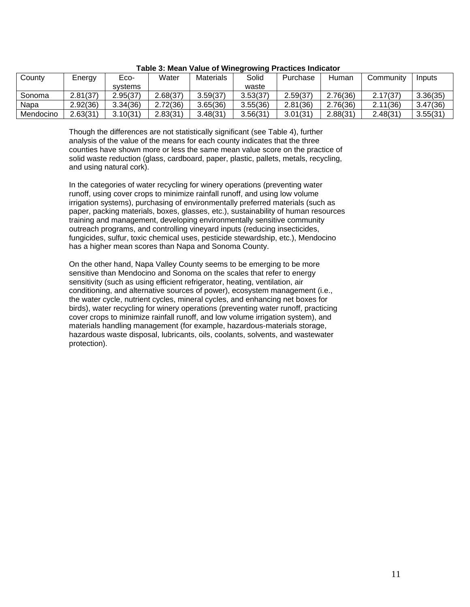| County    | Energy   | Eco-     | Water    | <b>Materials</b> | Solid    | Purchase | Human    | Community | Inputs   |
|-----------|----------|----------|----------|------------------|----------|----------|----------|-----------|----------|
|           |          | svstems  |          |                  | waste    |          |          |           |          |
| Sonoma    | 2.81(37) | 2.95(37) | 2.68(37) | 3.59(37)         | 3.53(37) | 2.59(37) | 2.76(36) | 2.17(37)  | 3.36(35) |
| Napa      | 2.92(36) | 3.34(36) | 2.72(36) | 3.65(36)         | 3.55(36) | 2.81(36) | 2.76(36) | 2.11(36)  | 3.47(36) |
| Mendocino | 2.63(31) | 3.10(31) | 2.83(31) | 3.48(31)         | 3.56(31) | 3.01(31) | 2.88(31) | 2.48(31   | 3.55(31) |

### **Table 3: Mean Value of Winegrowing Practices Indicator**

Though the differences are not statistically significant (see Table 4), further analysis of the value of the means for each county indicates that the three counties have shown more or less the same mean value score on the practice of solid waste reduction (glass, cardboard, paper, plastic, pallets, metals, recycling, and using natural cork).

In the categories of water recycling for winery operations (preventing water runoff, using cover crops to minimize rainfall runoff, and using low volume irrigation systems), purchasing of environmentally preferred materials (such as paper, packing materials, boxes, glasses, etc.), sustainability of human resources training and management, developing environmentally sensitive community outreach programs, and controlling vineyard inputs (reducing insecticides, fungicides, sulfur, toxic chemical uses, pesticide stewardship, etc.), Mendocino has a higher mean scores than Napa and Sonoma County.

On the other hand, Napa Valley County seems to be emerging to be more sensitive than Mendocino and Sonoma on the scales that refer to energy sensitivity (such as using efficient refrigerator, heating, ventilation, air conditioning, and alternative sources of power), ecosystem management (i.e., the water cycle, nutrient cycles, mineral cycles, and enhancing net boxes for birds), water recycling for winery operations (preventing water runoff, practicing cover crops to minimize rainfall runoff, and low volume irrigation system), and materials handling management (for example, hazardous-materials storage, hazardous waste disposal, lubricants, oils, coolants, solvents, and wastewater protection).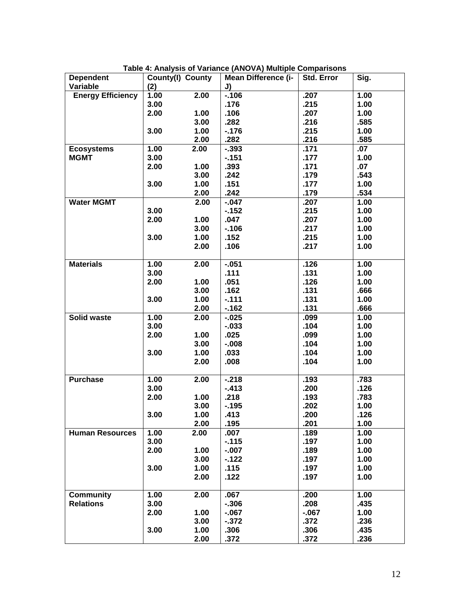| <b>Dependent</b>         | County(I) County |      | Mean Difference (i- | Std. Error | Sig. |
|--------------------------|------------------|------|---------------------|------------|------|
| Variable                 | (2)              |      | J)                  |            |      |
| <b>Energy Efficiency</b> | 1.00             | 2.00 | $-106$              | .207       | 1.00 |
|                          | 3.00             |      | .176                | .215       | 1.00 |
|                          | 2.00             | 1.00 | .106                | .207       | 1.00 |
|                          |                  | 3.00 | .282                | .216       | .585 |
|                          | 3.00             | 1.00 | $-176$              | .215       | 1.00 |
|                          |                  | 2.00 | .282                | .216       | .585 |
| <b>Ecosystems</b>        | 1.00             | 2.00 | $-393$              | .171       | .07  |
| <b>MGMT</b>              | 3.00             |      | $-151$              | .177       | 1.00 |
|                          | 2.00             | 1.00 | .393                | .171       | .07  |
|                          |                  | 3.00 | .242                | .179       | .543 |
|                          | 3.00             | 1.00 | .151                | .177       | 1.00 |
|                          |                  | 2.00 | .242                | .179       | .534 |
| <b>Water MGMT</b>        |                  | 2.00 | $-047$              | .207       | 1.00 |
|                          | 3.00             |      | $-152$              | .215       | 1.00 |
|                          | 2.00             | 1.00 | .047                | .207       | 1.00 |
|                          |                  | 3.00 | $-106$              | .217       | 1.00 |
|                          | 3.00             | 1.00 | .152                | .215       | 1.00 |
|                          |                  | 2.00 | .106                | .217       | 1.00 |
|                          |                  |      |                     |            |      |
| <b>Materials</b>         | 1.00             | 2.00 | $-0.051$            | .126       | 1.00 |
|                          | 3.00             |      | .111                | .131       | 1.00 |
|                          | 2.00             | 1.00 | .051                | .126       | 1.00 |
|                          |                  | 3.00 | .162                | .131       | .666 |
|                          | 3.00             | 1.00 | $-111$              | .131       | 1.00 |
|                          |                  | 2.00 | $-162$              | .131       | .666 |
| Solid waste              | 1.00             | 2.00 | $-0.025$            | .099       | 1.00 |
|                          | 3.00             |      | $-0.033$            | .104       | 1.00 |
|                          | 2.00             | 1.00 |                     | .099       | 1.00 |
|                          |                  |      | .025                |            |      |
|                          |                  | 3.00 | $-0.008$            | .104       | 1.00 |
|                          | 3.00             | 1.00 | .033                | .104       | 1.00 |
|                          |                  | 2.00 | .008                | .104       | 1.00 |
| <b>Purchase</b>          | 1.00             | 2.00 | $-218$              | .193       | .783 |
|                          | 3.00             |      | $-413$              | .200       | .126 |
|                          | 2.00             | 1.00 | .218                | .193       | .783 |
|                          |                  | 3.00 | $-195$              | .202       | 1.00 |
|                          | 3.00             | 1.00 | .413                | .200       | .126 |
|                          |                  | 2.00 | .195                | .201       | 1.00 |
| <b>Human Resources</b>   | 1.00             | 2.00 | .007                | .189       | 1.00 |
|                          | 3.00             |      | $-115$              | .197       | 1.00 |
|                          | 2.00             | 1.00 | $-0.007$            | .189       | 1.00 |
|                          |                  | 3.00 | $-122$              | .197       | 1.00 |
|                          | 3.00             | 1.00 | .115                | .197       | 1.00 |
|                          |                  | 2.00 |                     | .197       | 1.00 |
|                          |                  |      | .122                |            |      |
| <b>Community</b>         | 1.00             | 2.00 | .067                | .200       | 1.00 |
| <b>Relations</b>         | 3.00             |      | $-306$              | .208       | .435 |
|                          | 2.00             | 1.00 | $-067$              | $-067$     | 1.00 |
|                          |                  | 3.00 | $-372$              | .372       | .236 |
|                          | 3.00             | 1.00 | .306                | .306       | .435 |
|                          |                  | 2.00 | .372                | .372       | .236 |
|                          |                  |      |                     |            |      |

**Table 4: Analysis of Variance (ANOVA) Multiple Comparisons**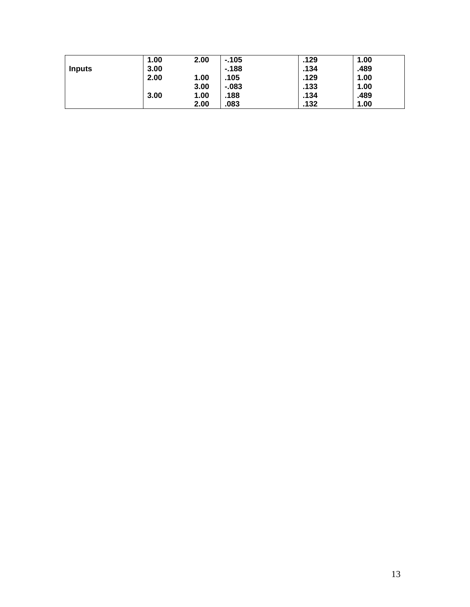|        | 1.00 | 2.00 | $-105$ | .129 | 1.00 |  |
|--------|------|------|--------|------|------|--|
| Inputs | 3.00 |      | $-188$ | .134 | .489 |  |
|        | 2.00 | 1.00 | .105   | .129 | 1.00 |  |
|        |      | 3.00 | $-083$ | .133 | 1.00 |  |
|        | 3.00 | 1.00 | .188   | .134 | .489 |  |
|        |      | 2.00 | .083   | .132 | 1.00 |  |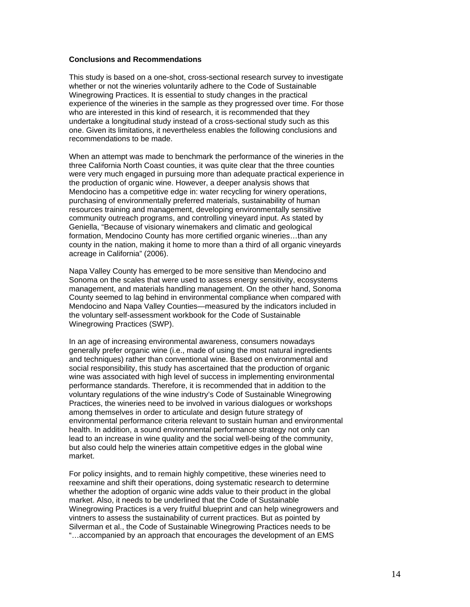### **Conclusions and Recommendations**

This study is based on a one-shot, cross-sectional research survey to investigate whether or not the wineries voluntarily adhere to the Code of Sustainable Winegrowing Practices. It is essential to study changes in the practical experience of the wineries in the sample as they progressed over time. For those who are interested in this kind of research, it is recommended that they undertake a longitudinal study instead of a cross-sectional study such as this one. Given its limitations, it nevertheless enables the following conclusions and recommendations to be made.

When an attempt was made to benchmark the performance of the wineries in the three California North Coast counties, it was quite clear that the three counties were very much engaged in pursuing more than adequate practical experience in the production of organic wine. However, a deeper analysis shows that Mendocino has a competitive edge in: water recycling for winery operations, purchasing of environmentally preferred materials, sustainability of human resources training and management, developing environmentally sensitive community outreach programs, and controlling vineyard input. As stated by Geniella, "Because of visionary winemakers and climatic and geological formation, Mendocino County has more certified organic wineries…than any county in the nation, making it home to more than a third of all organic vineyards acreage in California" (2006).

Napa Valley County has emerged to be more sensitive than Mendocino and Sonoma on the scales that were used to assess energy sensitivity, ecosystems management, and materials handling management. On the other hand, Sonoma County seemed to lag behind in environmental compliance when compared with Mendocino and Napa Valley Counties—measured by the indicators included in the voluntary self-assessment workbook for the Code of Sustainable Winegrowing Practices (SWP).

In an age of increasing environmental awareness, consumers nowadays generally prefer organic wine (i.e., made of using the most natural ingredients and techniques) rather than conventional wine. Based on environmental and social responsibility, this study has ascertained that the production of organic wine was associated with high level of success in implementing environmental performance standards. Therefore, it is recommended that in addition to the voluntary regulations of the wine industry's Code of Sustainable Winegrowing Practices, the wineries need to be involved in various dialogues or workshops among themselves in order to articulate and design future strategy of environmental performance criteria relevant to sustain human and environmental health. In addition, a sound environmental performance strategy not only can lead to an increase in wine quality and the social well-being of the community, but also could help the wineries attain competitive edges in the global wine market.

For policy insights, and to remain highly competitive, these wineries need to reexamine and shift their operations, doing systematic research to determine whether the adoption of organic wine adds value to their product in the global market. Also, it needs to be underlined that the Code of Sustainable Winegrowing Practices is a very fruitful blueprint and can help winegrowers and vintners to assess the sustainability of current practices. But as pointed by Silverman et al., the Code of Sustainable Winegrowing Practices needs to be "…accompanied by an approach that encourages the development of an EMS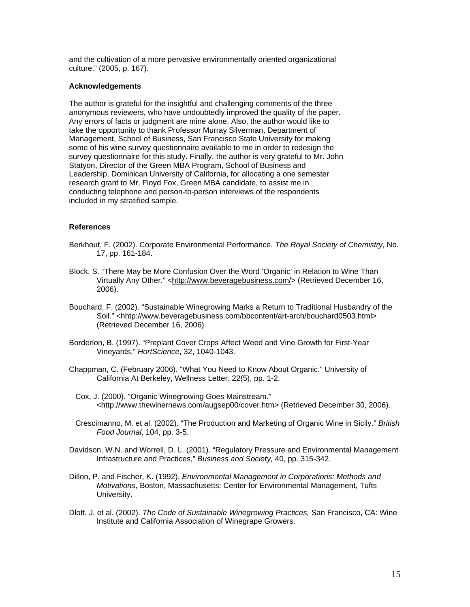and the cultivation of a more pervasive environmentally oriented organizational culture." (2005, p. 167).

### **Acknowledgements**

The author is grateful for the insightful and challenging comments of the three anonymous reviewers, who have undoubtedly improved the quality of the paper. Any errors of facts or judgment are mine alone. Also, the author would like to take the opportunity to thank Professor Murray Silverman, Department of Management, School of Business, San Francisco State University for making some of his wine survey questionnaire available to me in order to redesign the survey questionnaire for this study. Finally, the author is very grateful to Mr. John Statyon, Director of the Green MBA Program, School of Business and Leadership, Dominican University of California, for allocating a one semester research grant to Mr. Floyd Fox, Green MBA candidate, to assist me in conducting telephone and person-to-person interviews of the respondents included in my stratified sample.

# **References**

- Berkhout, F. (2002). Corporate Environmental Performance. *The Royal Society of Chemistry*, No. 17, pp. 161-184.
- Block, S. "There May be More Confusion Over the Word 'Organic' in Relation to Wine Than Virtually Any Other." [<http://www.beveragebusiness.com/](http://www.beveragebusiness.com/)> (Retrieved December 16, 2006).
- Bouchard, F. (2002). "Sustainable Winegrowing Marks a Return to Traditional Husbandry of the Soil." <hhtp://www.beveragebusiness.com/bbcontent/art-arch/bouchard0503.html> (Retrieved December 16, 2006).
- Borderlon, B. (1997). "Preplant Cover Crops Affect Weed and Vine Growth for First-Year Vineyards." *HortScience*, 32, 1040-1043.
- Chappman, C. (February 2006). "What You Need to Know About Organic." University of California At Berkeley, Wellness Letter. 22(5), pp. 1-2.
	- Cox, J. (2000). "Organic Winegrowing Goes Mainstream." <[http://www.thewinernews.com/augsep00/cover.htm>](http://www.thewinernews.com/augsep00/cover.htm) (Retrieved December 30, 2006).
- Crescimanno, M. et al. (2002). "The Production and Marketing of Organic Wine in Sicily." *British Food Journal*, 104, pp. 3-5.
- Davidson, W.N. and Worrell, D. L. (2001). "Regulatory Pressure and Environmental Management Infrastructure and Practices," *Business and Society,* 40, pp. 315-342.
- Dillon, P. and Fischer, K. (1992). *Environmental Management in Corporations: Methods and Motivations*, Boston, Massachusetts: Center for Environmental Management, Tufts University.
- Dlott, J. et al. (2002). *The Code of Sustainable Winegrowing Practices,* San Francisco, CA: Wine Institute and California Association of Winegrape Growers.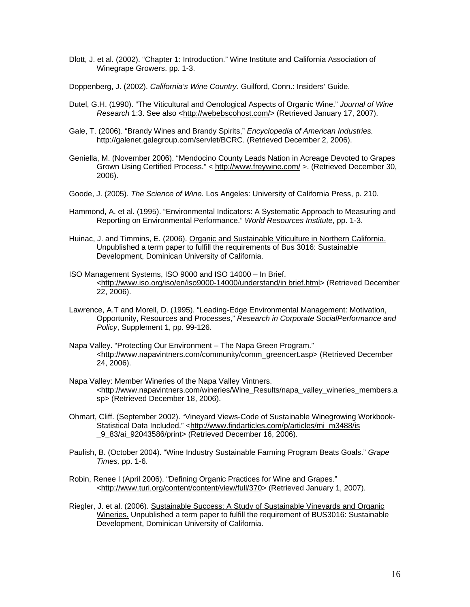- Dlott, J. et al. (2002). "Chapter 1: Introduction." Wine Institute and California Association of Winegrape Growers. pp. 1-3.
- Doppenberg, J. (2002). *California's Wine Country*. Guilford, Conn.: Insiders' Guide.
- Dutel, G.H. (1990). "The Viticultural and Oenological Aspects of Organic Wine." *Journal of Wine Research* 1:3. See also <[http://webebscohost.com/>](http://webebscohost.com/) (Retrieved January 17, 2007).
- Gale, T. (2006). "Brandy Wines and Brandy Spirits," *Encyclopedia of American Industries.* http://galenet.galegroup.com/servlet/BCRC. (Retrieved December 2, 2006).
- Geniella, M. (November 2006). "Mendocino County Leads Nation in Acreage Devoted to Grapes Grown Using Certified Process." <<http://www.freywine.com/> >. (Retrieved December 30, 2006).
- Goode, J. (2005). *The Science of Wine.* Los Angeles: University of California Press, p. 210.
- Hammond, A. et al. (1995). "Environmental Indicators: A Systematic Approach to Measuring and Reporting on Environmental Performance." *World Resources Institute*, pp. 1-3.
- Huinac, J. and Timmins, E. (2006). Organic and Sustainable Viticulture in Northern California. Unpublished a term paper to fulfill the requirements of Bus 3016: Sustainable Development, Dominican University of California.
- ISO Management Systems, ISO 9000 and ISO 14000 In Brief. <[http://www.iso.org/iso/en/iso9000-14000/understand/in brief.html](http://www.iso.org/iso/en/iso9000-14000/understand/in%20brief.html)> (Retrieved December 22, 2006).
- Lawrence, A.T and Morell, D. (1995). "Leading-Edge Environmental Management: Motivation, Opportunity, Resources and Processes," *Research in Corporate SocialPerformance and Policy*, Supplement 1, pp. 99-126.
- Napa Valley. "Protecting Our Environment The Napa Green Program." <[http://www.napavintners.com/community/comm\\_greencert.asp](http://www.napavintners.com/community/comm_greencert.asp)> (Retrieved December 24, 2006).
- Napa Valley: Member Wineries of the Napa Valley Vintners. <http://www.napavintners.com/wineries/Wine\_Results/napa\_valley\_wineries\_members.a sp> (Retrieved December 18, 2006).
- Ohmart, Cliff. (September 2002). "Vineyard Views-Code of Sustainable Winegrowing Workbook-Statistical Data Included." <http://www.findarticles.com/p/articles/mi\_m3488/is [\\_9\\_83/ai\\_92043586/print>](http://www.findarticles.com/p/articles/mi_m3488/is%20_9_83/ai_92043586/print) (Retrieved December 16, 2006).
- Paulish, B. (October 2004). "Wine Industry Sustainable Farming Program Beats Goals." *Grape Times,* pp. 1-6.
- Robin, Renee I (April 2006). "Defining Organic Practices for Wine and Grapes." <<http://www.turi.org/content/content/view/full/370>> (Retrieved January 1, 2007).
- Riegler, J. et al. (2006). Sustainable Success: A Study of Sustainable Vineyards and Organic Wineries. Unpublished a term paper to fulfill the requirement of BUS3016: Sustainable Development, Dominican University of California.